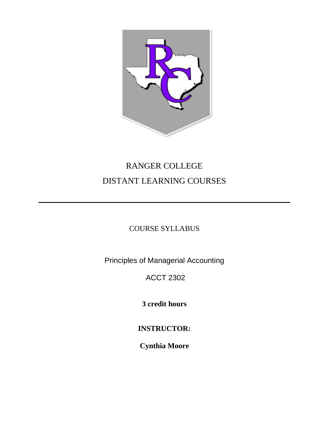

# RANGER COLLEGE DISTANT LEARNING COURSES

# COURSE SYLLABUS

Principles of Managerial Accounting

# ACCT 2302

**3 credit hours**

**INSTRUCTOR:**

**Cynthia Moore**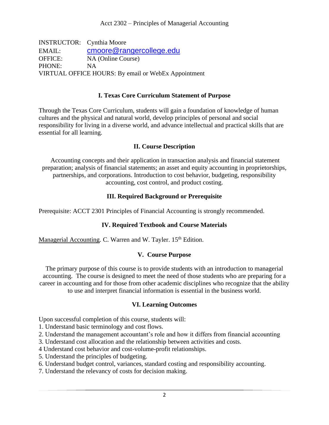INSTRUCTOR: Cynthia Moore EMAIL: [cmoore@rangercollege.edu](mailto:cmoore@rangercollege.edu) OFFICE: NA (Online Course) PHONE: NA VIRTUAL OFFICE HOURS: By email or WebEx Appointment

#### **I. Texas Core Curriculum Statement of Purpose**

Through the Texas Core Curriculum, students will gain a foundation of knowledge of human cultures and the physical and natural world, develop principles of personal and social responsibility for living in a diverse world, and advance intellectual and practical skills that are essential for all learning.

## **II. Course Description**

Accounting concepts and their application in transaction analysis and financial statement preparation; analysis of financial statements; an asset and equity accounting in proprietorships, partnerships, and corporations. Introduction to cost behavior, budgeting, responsibility accounting, cost control, and product costing.

## **III. Required Background or Prerequisite**

Prerequisite: ACCT 2301 Principles of Financial Accounting is strongly recommended.

# **IV. Required Textbook and Course Materials**

Managerial Accounting. C. Warren and W. Tayler. 15<sup>th</sup> Edition.

# **V. Course Purpose**

The primary purpose of this course is to provide students with an introduction to managerial accounting. The course is designed to meet the need of those students who are preparing for a career in accounting and for those from other academic disciplines who recognize that the ability to use and interpret financial information is essential in the business world.

# **VI. Learning Outcomes**

Upon successful completion of this course, students will:

- 1. Understand basic terminology and cost flows.
- 2. Understand the management accountant's role and how it differs from financial accounting
- 3. Understand cost allocation and the relationship between activities and costs.
- 4 Understand cost behavior and cost-volume-profit relationships.
- 5. Understand the principles of budgeting.
- 6. Understand budget control, variances, standard costing and responsibility accounting.
- 7. Understand the relevancy of costs for decision making.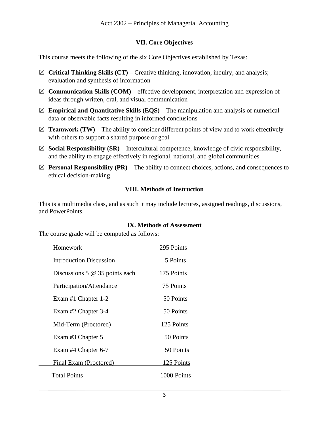## **VII. Core Objectives**

This course meets the following of the six Core Objectives established by Texas:

- ☒ **Critical Thinking Skills (CT) –** Creative thinking, innovation, inquiry, and analysis; evaluation and synthesis of information
- $\boxtimes$  **Communication Skills (COM)** effective development, interpretation and expression of ideas through written, oral, and visual communication
- $\boxtimes$  **Empirical and Quantitative Skills (EQS)** The manipulation and analysis of numerical data or observable facts resulting in informed conclusions
- $\boxtimes$  **Teamwork (TW)** The ability to consider different points of view and to work effectively with others to support a shared purpose or goal
- $\boxtimes$  **Social Responsibility (SR)** Intercultural competence, knowledge of civic responsibility, and the ability to engage effectively in regional, national, and global communities
- $\boxtimes$  **Personal Responsibility (PR)** The ability to connect choices, actions, and consequences to ethical decision-making

#### **VIII. Methods of Instruction**

This is a multimedia class, and as such it may include lectures, assigned readings, discussions, and PowerPoints.

#### **IX. Methods of Assessment**

The course grade will be computed as follows:

| Homework                         | 295 Points  |
|----------------------------------|-------------|
| <b>Introduction Discussion</b>   | 5 Points    |
| Discussions 5 $@$ 35 points each | 175 Points  |
| Participation/Attendance         | 75 Points   |
| Exam #1 Chapter 1-2              | 50 Points   |
| Exam #2 Chapter 3-4              | 50 Points   |
| Mid-Term (Proctored)             | 125 Points  |
| Exam #3 Chapter 5                | 50 Points   |
| Exam #4 Chapter 6-7              | 50 Points   |
| Final Exam (Proctored)           | 125 Points  |
| <b>Total Points</b>              | 1000 Points |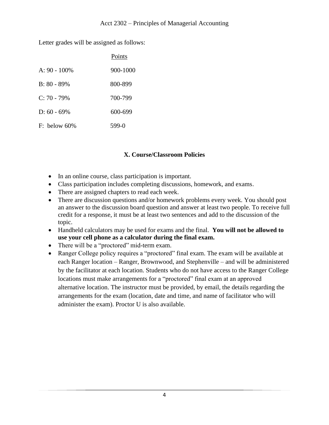Letter grades will be assigned as follows:

|                 | Points   |
|-----------------|----------|
| $A: 90 - 100\%$ | 900-1000 |
| $B: 80 - 89\%$  | 800-899  |
| $C: 70 - 79\%$  | 700-799  |
| $D: 60 - 69\%$  | 600-699  |
| $F:$ below 60%  | 599-0    |

## **X. Course/Classroom Policies**

- In an online course, class participation is important.
- Class participation includes completing discussions, homework, and exams.
- There are assigned chapters to read each week.
- There are discussion questions and/or homework problems every week. You should post an answer to the discussion board question and answer at least two people. To receive full credit for a response, it must be at least two sentences and add to the discussion of the topic.
- Handheld calculators may be used for exams and the final. **You will not be allowed to use your cell phone as a calculator during the final exam.**
- There will be a "proctored" mid-term exam.
- Ranger College policy requires a "proctored" final exam. The exam will be available at each Ranger location – Ranger, Brownwood, and Stephenville – and will be administered by the facilitator at each location. Students who do not have access to the Ranger College locations must make arrangements for a "proctored" final exam at an approved alternative location. The instructor must be provided, by email, the details regarding the arrangements for the exam (location, date and time, and name of facilitator who will administer the exam). Proctor U is also available.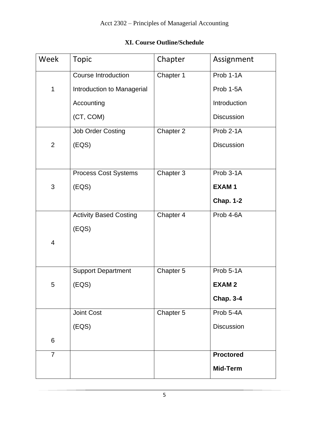# **XI. Course Outline/Schedule**

| Week           | <b>Topic</b>                  | Chapter   | Assignment        |
|----------------|-------------------------------|-----------|-------------------|
|                | <b>Course Introduction</b>    | Chapter 1 | Prob 1-1A         |
| $\mathbf 1$    | Introduction to Managerial    |           | Prob 1-5A         |
|                | Accounting                    |           | Introduction      |
|                | (CT, COM)                     |           | <b>Discussion</b> |
|                | <b>Job Order Costing</b>      | Chapter 2 | Prob 2-1A         |
| $\overline{2}$ | (EOS)                         |           | <b>Discussion</b> |
|                |                               |           |                   |
|                | <b>Process Cost Systems</b>   | Chapter 3 | Prob 3-1A         |
| 3              | (EOS)                         |           | <b>EXAM1</b>      |
|                |                               |           | <b>Chap. 1-2</b>  |
|                | <b>Activity Based Costing</b> | Chapter 4 | Prob 4-6A         |
|                | (EOS)                         |           |                   |
| $\overline{4}$ |                               |           |                   |
|                |                               |           |                   |
|                | <b>Support Department</b>     | Chapter 5 | Prob 5-1A         |
| 5              | (EOS)                         |           | <b>EXAM2</b>      |
|                |                               |           | <b>Chap. 3-4</b>  |
|                | <b>Joint Cost</b>             | Chapter 5 | Prob 5-4A         |
|                | (EOS)                         |           | <b>Discussion</b> |
| 6              |                               |           |                   |
| $\overline{7}$ |                               |           | <b>Proctored</b>  |
|                |                               |           | Mid-Term          |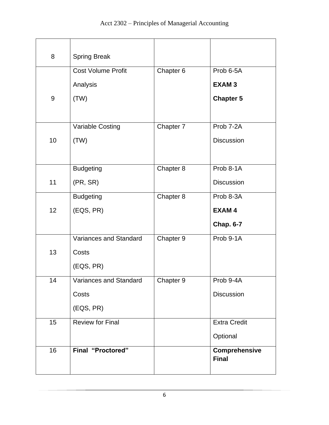| 8  | <b>Spring Break</b>           |           |                               |
|----|-------------------------------|-----------|-------------------------------|
|    | <b>Cost Volume Profit</b>     | Chapter 6 | Prob 6-5A                     |
|    | Analysis                      |           | <b>EXAM3</b>                  |
| 9  | (TW)                          |           | <b>Chapter 5</b>              |
|    |                               |           |                               |
|    | Variable Costing              | Chapter 7 | Prob 7-2A                     |
| 10 | (TW)                          |           | <b>Discussion</b>             |
|    |                               |           |                               |
|    | <b>Budgeting</b>              | Chapter 8 | Prob 8-1A                     |
| 11 | (PR, SR)                      |           | <b>Discussion</b>             |
|    | <b>Budgeting</b>              | Chapter 8 | Prob 8-3A                     |
| 12 | (EQS, PR)                     |           | <b>EXAM4</b>                  |
|    |                               |           | <b>Chap. 6-7</b>              |
|    | Variances and Standard        | Chapter 9 | Prob 9-1A                     |
| 13 | Costs                         |           |                               |
|    | (EQS, PR)                     |           |                               |
| 14 | <b>Variances and Standard</b> | Chapter 9 | Prob 9-4A                     |
|    | Costs                         |           | Discussion                    |
|    | (EQS, PR)                     |           |                               |
| 15 | Review for Final              |           | <b>Extra Credit</b>           |
|    |                               |           | Optional                      |
| 16 | <b>Final "Proctored"</b>      |           | Comprehensive<br><b>Final</b> |